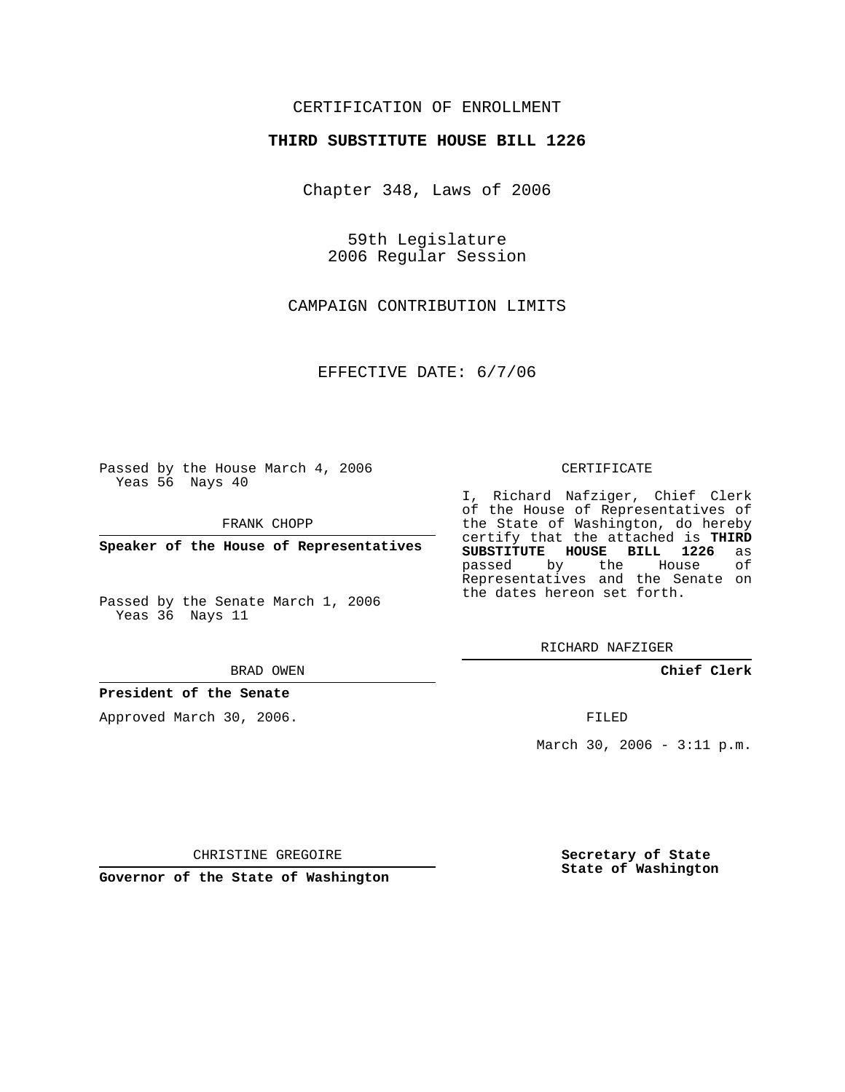## CERTIFICATION OF ENROLLMENT

#### **THIRD SUBSTITUTE HOUSE BILL 1226**

Chapter 348, Laws of 2006

59th Legislature 2006 Regular Session

CAMPAIGN CONTRIBUTION LIMITS

EFFECTIVE DATE: 6/7/06

Passed by the House March 4, 2006 Yeas 56 Nays 40

FRANK CHOPP

**Speaker of the House of Representatives**

Passed by the Senate March 1, 2006 Yeas 36 Nays 11

BRAD OWEN

#### **President of the Senate**

Approved March 30, 2006.

CERTIFICATE

I, Richard Nafziger, Chief Clerk of the House of Representatives of the State of Washington, do hereby certify that the attached is **THIRD SUBSTITUTE HOUSE BILL 1226** as passed by the House of Representatives and the Senate on the dates hereon set forth.

RICHARD NAFZIGER

**Chief Clerk**

FILED

March 30, 2006 - 3:11 p.m.

CHRISTINE GREGOIRE

**Governor of the State of Washington**

**Secretary of State State of Washington**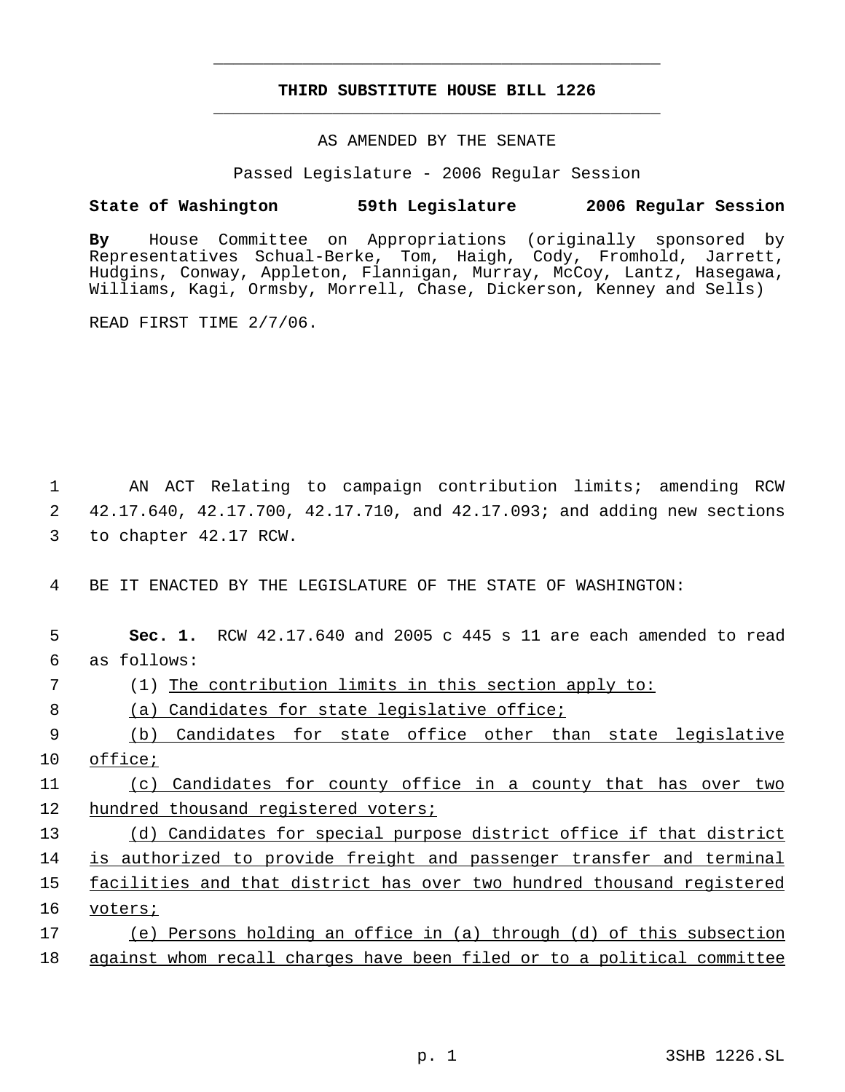# **THIRD SUBSTITUTE HOUSE BILL 1226** \_\_\_\_\_\_\_\_\_\_\_\_\_\_\_\_\_\_\_\_\_\_\_\_\_\_\_\_\_\_\_\_\_\_\_\_\_\_\_\_\_\_\_\_\_

\_\_\_\_\_\_\_\_\_\_\_\_\_\_\_\_\_\_\_\_\_\_\_\_\_\_\_\_\_\_\_\_\_\_\_\_\_\_\_\_\_\_\_\_\_

### AS AMENDED BY THE SENATE

Passed Legislature - 2006 Regular Session

### **State of Washington 59th Legislature 2006 Regular Session**

**By** House Committee on Appropriations (originally sponsored by Representatives Schual-Berke, Tom, Haigh, Cody, Fromhold, Jarrett, Hudgins, Conway, Appleton, Flannigan, Murray, McCoy, Lantz, Hasegawa, Williams, Kagi, Ormsby, Morrell, Chase, Dickerson, Kenney and Sells)

READ FIRST TIME 2/7/06.

 1 AN ACT Relating to campaign contribution limits; amending RCW 2 42.17.640, 42.17.700, 42.17.710, and 42.17.093; and adding new sections 3 to chapter 42.17 RCW.

4 BE IT ENACTED BY THE LEGISLATURE OF THE STATE OF WASHINGTON:

| 5  | RCW $42.17.640$ and 2005 c $445$ s 11 are each amended to read<br>Sec. 1. |
|----|---------------------------------------------------------------------------|
| 6  | as follows:                                                               |
| 7  | The contribution limits in this section apply to:                         |
| 8  | Candidates for state legislative office;<br>(a)                           |
| 9  | Candidates for state office other<br>than<br>state legislative<br>(b)     |
| 10 | office;                                                                   |
| 11 | Candidates for county office in a county that has over two<br>(C)         |
| 12 | hundred thousand registered voters;                                       |
| 13 | Candidates for special purpose district office if that district<br>(d)    |
| 14 | is authorized to provide freight and passenger transfer and terminal      |
| 15 | facilities and that district has over two hundred thousand registered     |
| 16 | voters;                                                                   |
| 17 | Persons holding an office in (a) through (d) of this subsection<br>(e)    |
| 18 | against whom recall charges have been filed or to a political committee   |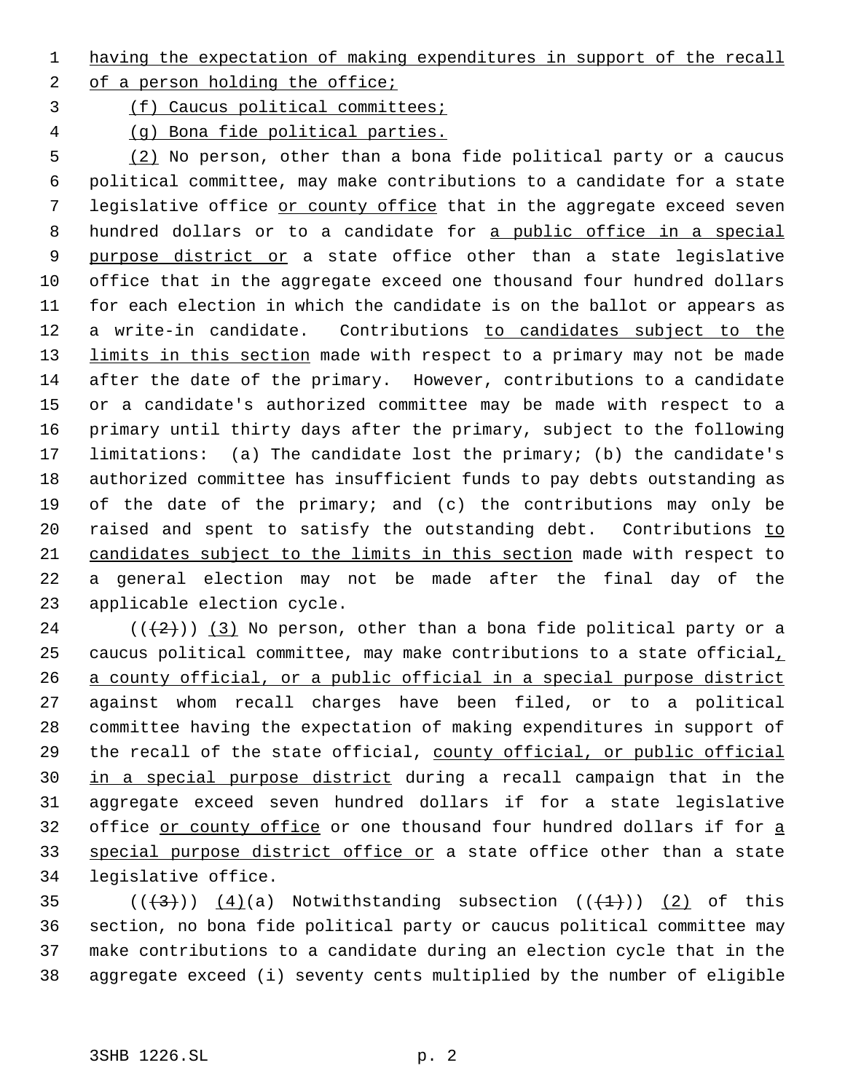having the expectation of making expenditures in support of the recall

2 of a person holding the office;

(f) Caucus political committees;

(g) Bona fide political parties.

 (2) No person, other than a bona fide political party or a caucus political committee, may make contributions to a candidate for a state legislative office or county office that in the aggregate exceed seven 8 hundred dollars or to a candidate for a public office in a special 9 purpose district or a state office other than a state legislative office that in the aggregate exceed one thousand four hundred dollars for each election in which the candidate is on the ballot or appears as 12 a write-in candidate. Contributions to candidates subject to the 13 limits in this section made with respect to a primary may not be made after the date of the primary. However, contributions to a candidate or a candidate's authorized committee may be made with respect to a primary until thirty days after the primary, subject to the following limitations: (a) The candidate lost the primary; (b) the candidate's authorized committee has insufficient funds to pay debts outstanding as of the date of the primary; and (c) the contributions may only be 20 raised and spent to satisfy the outstanding debt. Contributions to candidates subject to the limits in this section made with respect to a general election may not be made after the final day of the applicable election cycle.

24 ( $(\frac{2}{2})$ ) (3) No person, other than a bona fide political party or a 25 caucus political committee, may make contributions to a state official, a county official, or a public official in a special purpose district against whom recall charges have been filed, or to a political committee having the expectation of making expenditures in support of the recall of the state official, county official, or public official in a special purpose district during a recall campaign that in the aggregate exceed seven hundred dollars if for a state legislative office or county office or one thousand four hundred dollars if for a 33 special purpose district office or a state office other than a state legislative office.

 $((+3))$   $(4)(a)$  Notwithstanding subsection  $((+1))$   $(2)$  of this section, no bona fide political party or caucus political committee may make contributions to a candidate during an election cycle that in the aggregate exceed (i) seventy cents multiplied by the number of eligible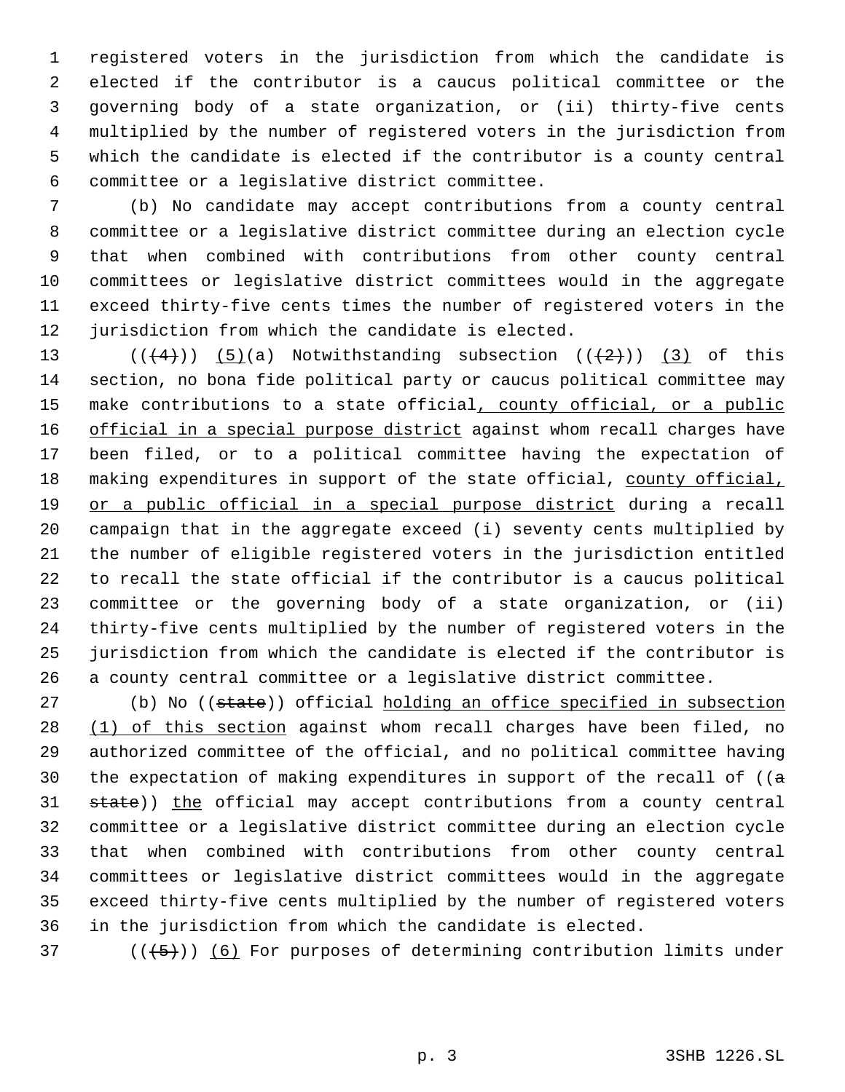registered voters in the jurisdiction from which the candidate is elected if the contributor is a caucus political committee or the governing body of a state organization, or (ii) thirty-five cents multiplied by the number of registered voters in the jurisdiction from which the candidate is elected if the contributor is a county central committee or a legislative district committee.

 (b) No candidate may accept contributions from a county central committee or a legislative district committee during an election cycle that when combined with contributions from other county central committees or legislative district committees would in the aggregate exceed thirty-five cents times the number of registered voters in the jurisdiction from which the candidate is elected.

 $((+4))$   $(5)(a)$  Notwithstanding subsection  $((+2))$   $(3)$  of this section, no bona fide political party or caucus political committee may 15 make contributions to a state official, county official, or a public 16 official in a special purpose district against whom recall charges have been filed, or to a political committee having the expectation of 18 making expenditures in support of the state official, county official, 19 or a public official in a special purpose district during a recall campaign that in the aggregate exceed (i) seventy cents multiplied by the number of eligible registered voters in the jurisdiction entitled to recall the state official if the contributor is a caucus political committee or the governing body of a state organization, or (ii) thirty-five cents multiplied by the number of registered voters in the jurisdiction from which the candidate is elected if the contributor is a county central committee or a legislative district committee.

27 (b) No ((state)) official holding an office specified in subsection 28 (1) of this section against whom recall charges have been filed, no authorized committee of the official, and no political committee having 30 the expectation of making expenditures in support of the recall of  $((a - b)\cdot b)$ 31 state)) the official may accept contributions from a county central committee or a legislative district committee during an election cycle that when combined with contributions from other county central committees or legislative district committees would in the aggregate exceed thirty-five cents multiplied by the number of registered voters in the jurisdiction from which the candidate is elected.

37 ( $(\overline{5})$ ) (6) For purposes of determining contribution limits under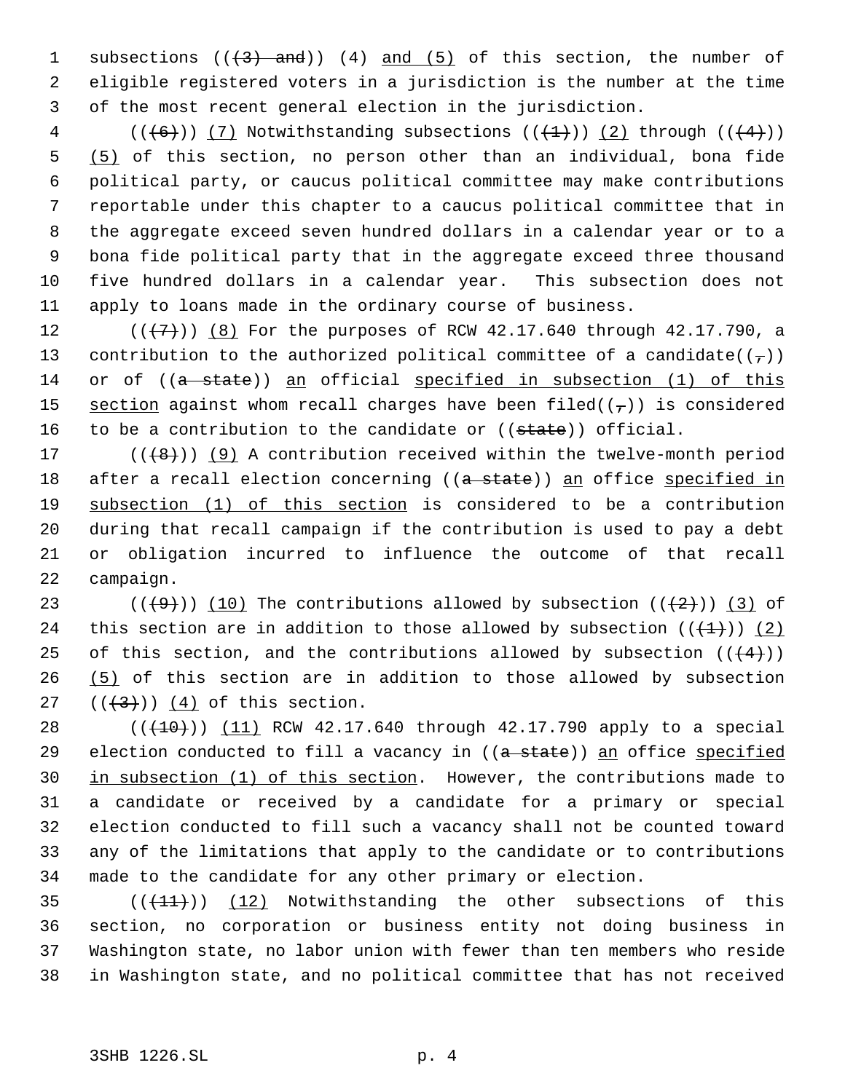1 subsections  $((3)$  and)) (4) and (5) of this section, the number of 2 eligible registered voters in a jurisdiction is the number at the time 3 of the most recent general election in the jurisdiction.

4 ( $(\overline{6})$ ) (7) Notwithstanding subsections ( $(\overline{4})$ ) (2) through ( $(\overline{4})$ )) (5) of this section, no person other than an individual, bona fide political party, or caucus political committee may make contributions reportable under this chapter to a caucus political committee that in the aggregate exceed seven hundred dollars in a calendar year or to a bona fide political party that in the aggregate exceed three thousand five hundred dollars in a calendar year. This subsection does not apply to loans made in the ordinary course of business.

12  $((+7))$   $(8)$  For the purposes of RCW 42.17.640 through 42.17.790, a 13 contribution to the authorized political committee of a candidate( $(\tau)$ ) 14 or of ((a state)) an official specified in subsection (1) of this 15 section against whom recall charges have been filed( $(\tau)$ ) is considered 16 to be a contribution to the candidate or  $((\text{state}))$  official.

 $((+8))$  (9) A contribution received within the twelve-month period 18 after a recall election concerning ((a state)) an office specified in subsection (1) of this section is considered to be a contribution during that recall campaign if the contribution is used to pay a debt or obligation incurred to influence the outcome of that recall campaign.

23 ( $(\overline{+9})$ ) (10) The contributions allowed by subsection  $(\overline{+2})$ ) (3) of 24 this section are in addition to those allowed by subsection  $((+1+))$  (2) 25 of this section, and the contributions allowed by subsection  $((+4))$ 26 (5) of this section are in addition to those allowed by subsection 27  $((+3))$   $(4)$  of this section.

28 (( $(10)$ )) (11) RCW 42.17.640 through 42.17.790 apply to a special 29 election conducted to fill a vacancy in ((a state)) an office specified in subsection (1) of this section. However, the contributions made to a candidate or received by a candidate for a primary or special election conducted to fill such a vacancy shall not be counted toward any of the limitations that apply to the candidate or to contributions made to the candidate for any other primary or election.

 $((+11))$   $(12)$  Notwithstanding the other subsections of this section, no corporation or business entity not doing business in Washington state, no labor union with fewer than ten members who reside in Washington state, and no political committee that has not received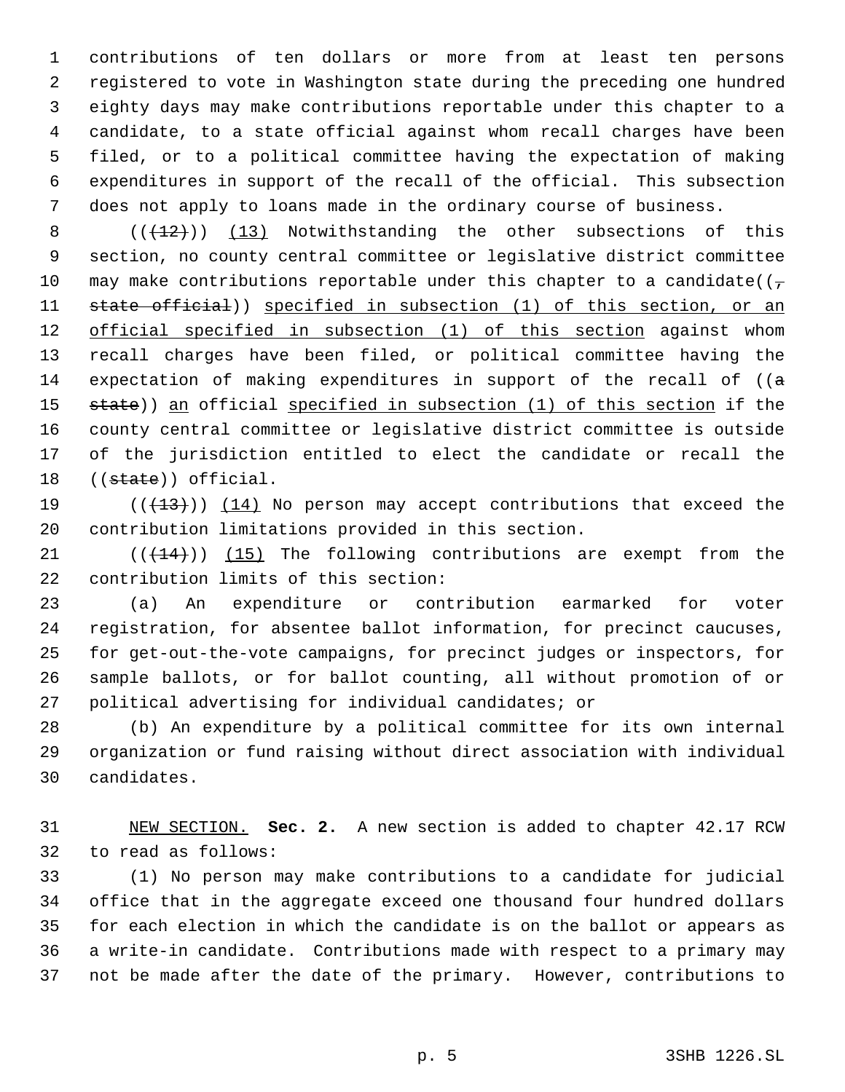contributions of ten dollars or more from at least ten persons registered to vote in Washington state during the preceding one hundred eighty days may make contributions reportable under this chapter to a candidate, to a state official against whom recall charges have been filed, or to a political committee having the expectation of making expenditures in support of the recall of the official. This subsection does not apply to loans made in the ordinary course of business.

8  $((+12))$   $(13)$  Notwithstanding the other subsections of this section, no county central committee or legislative district committee 10 may make contributions reportable under this chapter to a candidate( $(\tau$ 11 state official)) specified in subsection (1) of this section, or an 12 official specified in subsection (1) of this section against whom recall charges have been filed, or political committee having the 14 expectation of making expenditures in support of the recall of  $($ a 15 state)) an official specified in subsection (1) of this section if the county central committee or legislative district committee is outside of the jurisdiction entitled to elect the candidate or recall the 18 ((state)) official.

19  $((+13))$   $(14)$  No person may accept contributions that exceed the contribution limitations provided in this section.

21  $((+14))$  (15) The following contributions are exempt from the contribution limits of this section:

 (a) An expenditure or contribution earmarked for voter registration, for absentee ballot information, for precinct caucuses, for get-out-the-vote campaigns, for precinct judges or inspectors, for sample ballots, or for ballot counting, all without promotion of or political advertising for individual candidates; or

 (b) An expenditure by a political committee for its own internal organization or fund raising without direct association with individual candidates.

 NEW SECTION. **Sec. 2.** A new section is added to chapter 42.17 RCW to read as follows:

 (1) No person may make contributions to a candidate for judicial office that in the aggregate exceed one thousand four hundred dollars for each election in which the candidate is on the ballot or appears as a write-in candidate. Contributions made with respect to a primary may not be made after the date of the primary. However, contributions to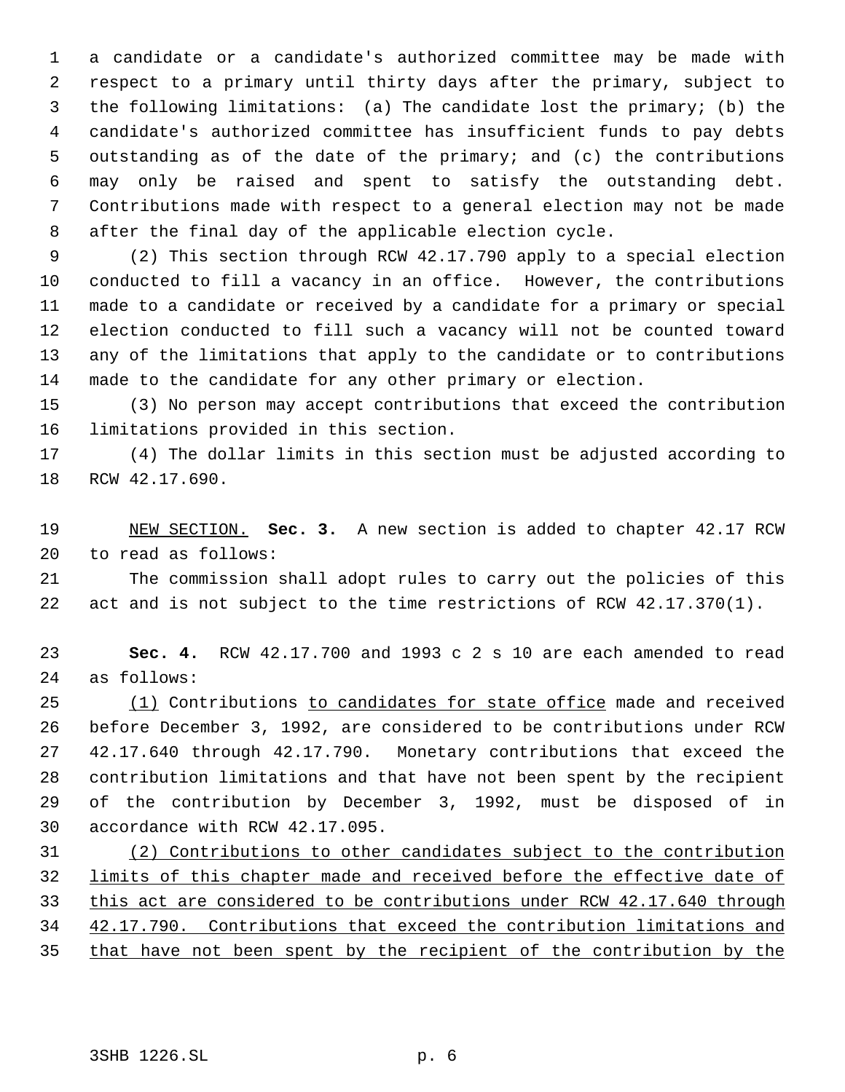a candidate or a candidate's authorized committee may be made with respect to a primary until thirty days after the primary, subject to the following limitations: (a) The candidate lost the primary; (b) the candidate's authorized committee has insufficient funds to pay debts outstanding as of the date of the primary; and (c) the contributions may only be raised and spent to satisfy the outstanding debt. Contributions made with respect to a general election may not be made after the final day of the applicable election cycle.

 (2) This section through RCW 42.17.790 apply to a special election conducted to fill a vacancy in an office. However, the contributions made to a candidate or received by a candidate for a primary or special election conducted to fill such a vacancy will not be counted toward any of the limitations that apply to the candidate or to contributions made to the candidate for any other primary or election.

 (3) No person may accept contributions that exceed the contribution limitations provided in this section.

 (4) The dollar limits in this section must be adjusted according to RCW 42.17.690.

 NEW SECTION. **Sec. 3.** A new section is added to chapter 42.17 RCW to read as follows:

 The commission shall adopt rules to carry out the policies of this act and is not subject to the time restrictions of RCW 42.17.370(1).

 **Sec. 4.** RCW 42.17.700 and 1993 c 2 s 10 are each amended to read as follows:

25 (1) Contributions to candidates for state office made and received before December 3, 1992, are considered to be contributions under RCW 42.17.640 through 42.17.790. Monetary contributions that exceed the contribution limitations and that have not been spent by the recipient of the contribution by December 3, 1992, must be disposed of in accordance with RCW 42.17.095.

 (2) Contributions to other candidates subject to the contribution limits of this chapter made and received before the effective date of 33 this act are considered to be contributions under RCW 42.17.640 through 42.17.790. Contributions that exceed the contribution limitations and 35 that have not been spent by the recipient of the contribution by the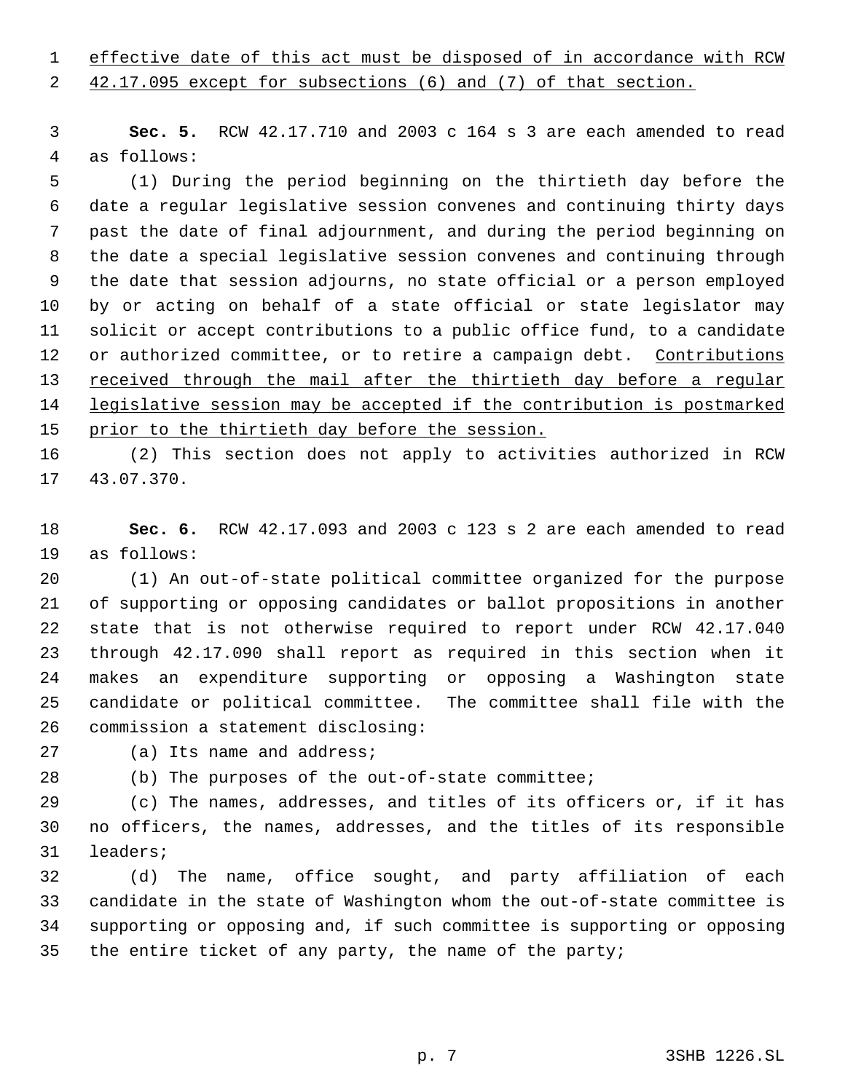effective date of this act must be disposed of in accordance with RCW

42.17.095 except for subsections (6) and (7) of that section.

 **Sec. 5.** RCW 42.17.710 and 2003 c 164 s 3 are each amended to read as follows:

 (1) During the period beginning on the thirtieth day before the date a regular legislative session convenes and continuing thirty days past the date of final adjournment, and during the period beginning on the date a special legislative session convenes and continuing through the date that session adjourns, no state official or a person employed by or acting on behalf of a state official or state legislator may solicit or accept contributions to a public office fund, to a candidate 12 or authorized committee, or to retire a campaign debt. Contributions received through the mail after the thirtieth day before a regular 14 legislative session may be accepted if the contribution is postmarked 15 prior to the thirtieth day before the session.

 (2) This section does not apply to activities authorized in RCW 43.07.370.

 **Sec. 6.** RCW 42.17.093 and 2003 c 123 s 2 are each amended to read as follows:

 (1) An out-of-state political committee organized for the purpose of supporting or opposing candidates or ballot propositions in another state that is not otherwise required to report under RCW 42.17.040 through 42.17.090 shall report as required in this section when it makes an expenditure supporting or opposing a Washington state candidate or political committee. The committee shall file with the commission a statement disclosing:

(a) Its name and address;

(b) The purposes of the out-of-state committee;

 (c) The names, addresses, and titles of its officers or, if it has no officers, the names, addresses, and the titles of its responsible leaders;

 (d) The name, office sought, and party affiliation of each candidate in the state of Washington whom the out-of-state committee is supporting or opposing and, if such committee is supporting or opposing the entire ticket of any party, the name of the party;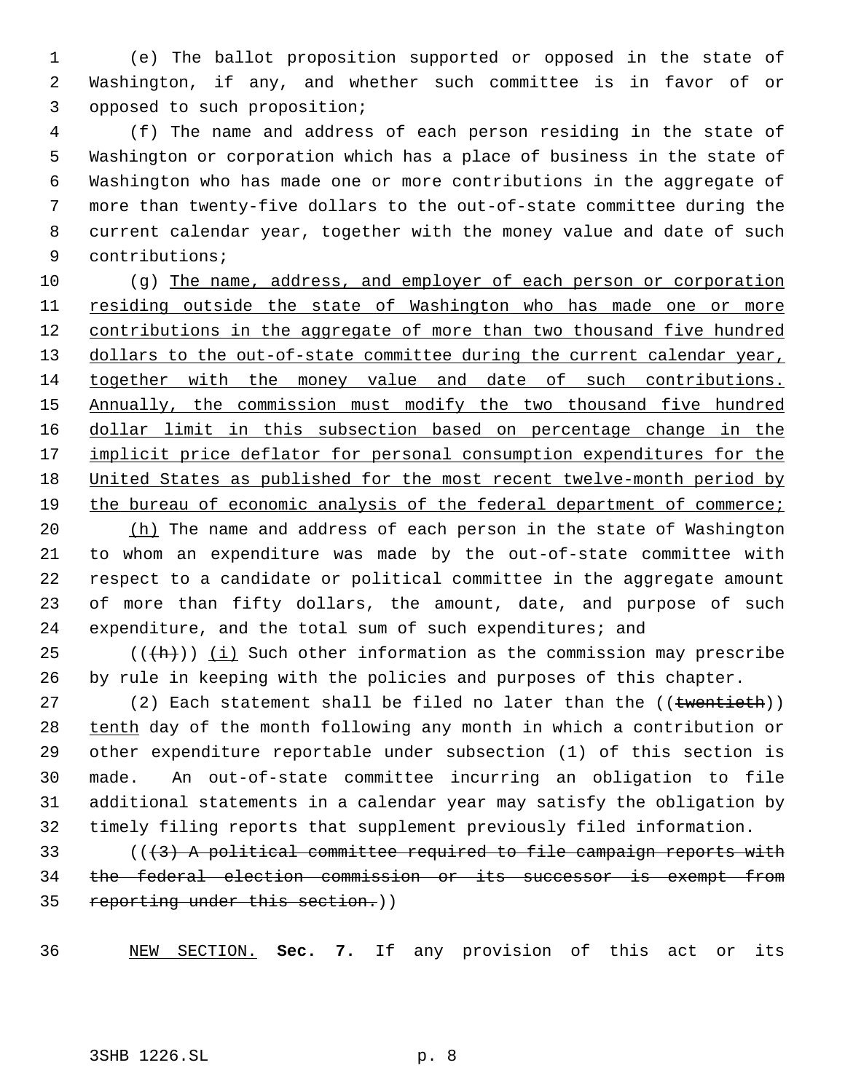(e) The ballot proposition supported or opposed in the state of Washington, if any, and whether such committee is in favor of or opposed to such proposition;

 (f) The name and address of each person residing in the state of Washington or corporation which has a place of business in the state of Washington who has made one or more contributions in the aggregate of more than twenty-five dollars to the out-of-state committee during the current calendar year, together with the money value and date of such contributions;

10 (g) The name, address, and employer of each person or corporation residing outside the state of Washington who has made one or more 12 contributions in the aggregate of more than two thousand five hundred 13 dollars to the out-of-state committee during the current calendar year, together with the money value and date of such contributions. Annually, the commission must modify the two thousand five hundred dollar limit in this subsection based on percentage change in the 17 implicit price deflator for personal consumption expenditures for the United States as published for the most recent twelve-month period by 19 the bureau of economic analysis of the federal department of commerce;

20 (h) The name and address of each person in the state of Washington to whom an expenditure was made by the out-of-state committee with respect to a candidate or political committee in the aggregate amount of more than fifty dollars, the amount, date, and purpose of such expenditure, and the total sum of such expenditures; and

25  $((+h))$  (i) Such other information as the commission may prescribe by rule in keeping with the policies and purposes of this chapter.

27 (2) Each statement shall be filed no later than the ((twentieth)) 28 tenth day of the month following any month in which a contribution or other expenditure reportable under subsection (1) of this section is made. An out-of-state committee incurring an obligation to file additional statements in a calendar year may satisfy the obligation by timely filing reports that supplement previously filed information.

 (((3) A political committee required to file campaign reports with the federal election commission or its successor is exempt from reporting under this section.))

NEW SECTION. **Sec. 7.** If any provision of this act or its